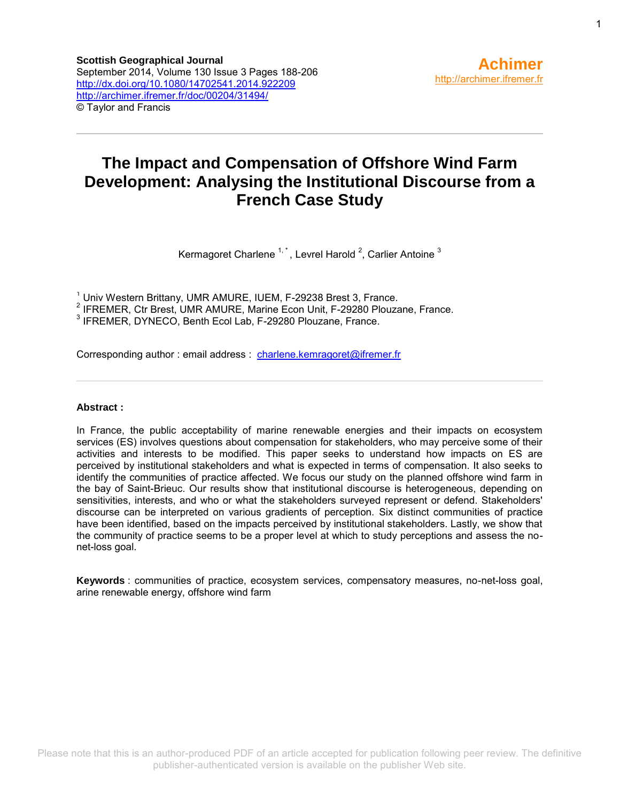# **The Impact and Compensation of Offshore Wind Farm Development: Analysing the Institutional Discourse from a French Case Study**

Kermagoret Charlene  $^{\text{1, *}}$ , Levrel Harold  $^{\text{2}}$ , Carlier Antoine  $^{\text{3}}$ 

<sup>1</sup> Univ Western Brittany, UMR AMURE, IUEM, F-29238 Brest 3, France.

 $2$  IFREMER, Ctr Brest, UMR AMURE, Marine Econ Unit, F-29280 Plouzane, France.

<sup>3</sup> IFREMER, DYNECO, Benth Ecol Lab, F-29280 Plouzane, France.

Corresponding author : email address : [charlene.kemragoret@ifremer.fr](file:///C:/birt/First_Page_Generation/Exports/charlene.kemragoret@ifremer.fr)

#### **Abstract :**

In France, the public acceptability of marine renewable energies and their impacts on ecosystem services (ES) involves questions about compensation for stakeholders, who may perceive some of their activities and interests to be modified. This paper seeks to understand how impacts on ES are perceived by institutional stakeholders and what is expected in terms of compensation. It also seeks to identify the communities of practice affected. We focus our study on the planned offshore wind farm in the bay of Saint-Brieuc. Our results show that institutional discourse is heterogeneous, depending on sensitivities, interests, and who or what the stakeholders surveyed represent or defend. Stakeholders' discourse can be interpreted on various gradients of perception. Six distinct communities of practice have been identified, based on the impacts perceived by institutional stakeholders. Lastly, we show that the community of practice seems to be a proper level at which to study perceptions and assess the nonet-loss goal.

**Keywords** : communities of practice, ecosystem services, compensatory measures, no-net-loss goal, arine renewable energy, offshore wind farm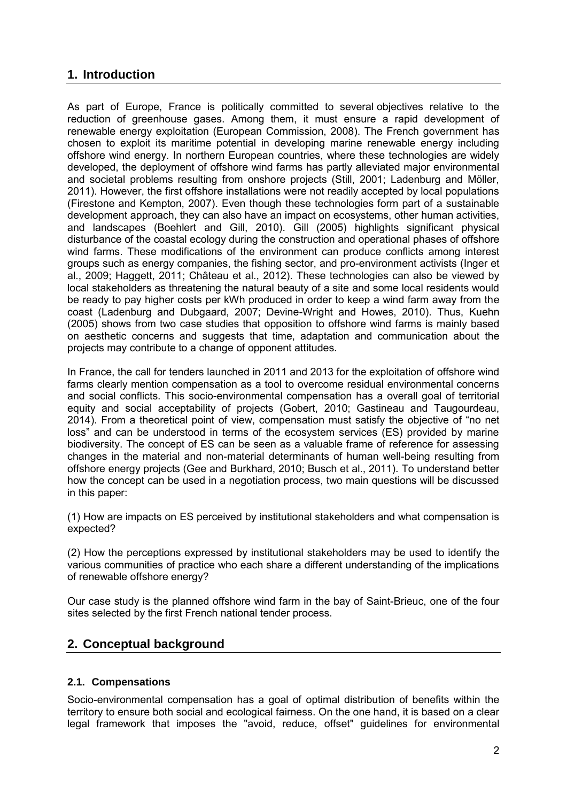# **1. Introduction**

As part of Europe, France is politically committed to several objectives relative to the reduction of greenhouse gases. Among them, it must ensure a rapid development of renewable energy exploitation (European Commission, 2008). The French government has chosen to exploit its maritime potential in developing marine renewable energy including offshore wind energy. In northern European countries, where these technologies are widely developed, the deployment of offshore wind farms has partly alleviated major environmental and societal problems resulting from onshore projects (Still, 2001; Ladenburg and Möller, 2011). However, the first offshore installations were not readily accepted by local populations (Firestone and Kempton, 2007). Even though these technologies form part of a sustainable development approach, they can also have an impact on ecosystems, other human activities, and landscapes (Boehlert and Gill, 2010). Gill (2005) highlights significant physical disturbance of the coastal ecology during the construction and operational phases of offshore wind farms. These modifications of the environment can produce conflicts among interest groups such as energy companies, the fishing sector, and pro-environment activists (Inger et al., 2009; Haggett, 2011; Château et al., 2012). These technologies can also be viewed by local stakeholders as threatening the natural beauty of a site and some local residents would be ready to pay higher costs per kWh produced in order to keep a wind farm away from the coast (Ladenburg and Dubgaard, 2007; Devine-Wright and Howes, 2010). Thus, Kuehn (2005) shows from two case studies that opposition to offshore wind farms is mainly based on aesthetic concerns and suggests that time, adaptation and communication about the projects may contribute to a change of opponent attitudes.

In France, the call for tenders launched in 2011 and 2013 for the exploitation of offshore wind farms clearly mention compensation as a tool to overcome residual environmental concerns and social conflicts. This socio-environmental compensation has a overall goal of territorial equity and social acceptability of projects (Gobert, 2010; Gastineau and Taugourdeau, 2014). From a theoretical point of view, compensation must satisfy the objective of "no net loss" and can be understood in terms of the ecosystem services (ES) provided by marine biodiversity. The concept of ES can be seen as a valuable frame of reference for assessing changes in the material and non-material determinants of human well-being resulting from offshore energy projects (Gee and Burkhard, 2010; Busch et al., 2011). To understand better how the concept can be used in a negotiation process, two main questions will be discussed in this paper:

(1) How are impacts on ES perceived by institutional stakeholders and what compensation is expected?

(2) How the perceptions expressed by institutional stakeholders may be used to identify the various communities of practice who each share a different understanding of the implications of renewable offshore energy?

Our case study is the planned offshore wind farm in the bay of Saint-Brieuc, one of the four sites selected by the first French national tender process.

# **2. Conceptual background**

### **2.1. Compensations**

Socio-environmental compensation has a goal of optimal distribution of benefits within the territory to ensure both social and ecological fairness. On the one hand, it is based on a clear legal framework that imposes the "avoid, reduce, offset" guidelines for environmental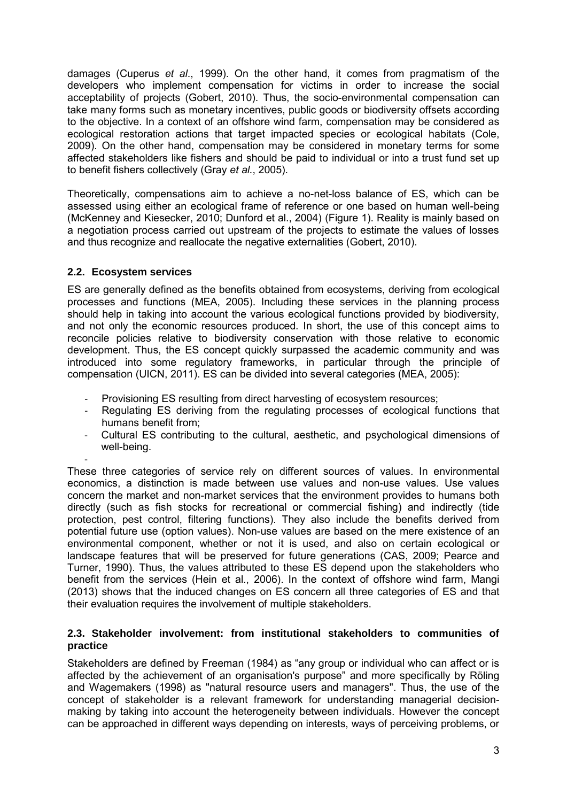damages (Cuperus *et al*., 1999). On the other hand, it comes from pragmatism of the developers who implement compensation for victims in order to increase the social acceptability of projects (Gobert, 2010). Thus, the socio-environmental compensation can take many forms such as monetary incentives, public goods or biodiversity offsets according to the objective. In a context of an offshore wind farm, compensation may be considered as ecological restoration actions that target impacted species or ecological habitats (Cole, 2009). On the other hand, compensation may be considered in monetary terms for some affected stakeholders like fishers and should be paid to individual or into a trust fund set up to benefit fishers collectively (Gray *et al.*, 2005).

Theoretically, compensations aim to achieve a no-net-loss balance of ES, which can be assessed using either an ecological frame of reference or one based on human well-being (McKenney and Kiesecker, 2010; Dunford et al., 2004) (Figure 1). Reality is mainly based on a negotiation process carried out upstream of the projects to estimate the values of losses and thus recognize and reallocate the negative externalities (Gobert, 2010).

### **2.2. Ecosystem services**

ES are generally defined as the benefits obtained from ecosystems, deriving from ecological processes and functions (MEA, 2005). Including these services in the planning process should help in taking into account the various ecological functions provided by biodiversity, and not only the economic resources produced. In short, the use of this concept aims to reconcile policies relative to biodiversity conservation with those relative to economic development. Thus, the ES concept quickly surpassed the academic community and was introduced into some regulatory frameworks, in particular through the principle of compensation (UICN, 2011). ES can be divided into several categories (MEA, 2005):

- Provisioning ES resulting from direct harvesting of ecosystem resources;
- Regulating ES deriving from the regulating processes of ecological functions that humans benefit from;
- Cultural ES contributing to the cultural, aesthetic, and psychological dimensions of well-being.

- These three categories of service rely on different sources of values. In environmental economics, a distinction is made between use values and non-use values. Use values concern the market and non-market services that the environment provides to humans both directly (such as fish stocks for recreational or commercial fishing) and indirectly (tide protection, pest control, filtering functions). They also include the benefits derived from potential future use (option values). Non-use values are based on the mere existence of an environmental component, whether or not it is used, and also on certain ecological or landscape features that will be preserved for future generations (CAS, 2009; Pearce and Turner, 1990). Thus, the values attributed to these ES depend upon the stakeholders who benefit from the services (Hein et al., 2006). In the context of offshore wind farm, Mangi (2013) shows that the induced changes on ES concern all three categories of ES and that their evaluation requires the involvement of multiple stakeholders.

#### **2.3. Stakeholder involvement: from institutional stakeholders to communities of practice**

Stakeholders are defined by Freeman (1984) as "any group or individual who can affect or is affected by the achievement of an organisation's purpose" and more specifically by Röling and Wagemakers (1998) as "natural resource users and managers". Thus, the use of the concept of stakeholder is a relevant framework for understanding managerial decisionmaking by taking into account the heterogeneity between individuals. However the concept can be approached in different ways depending on interests, ways of perceiving problems, or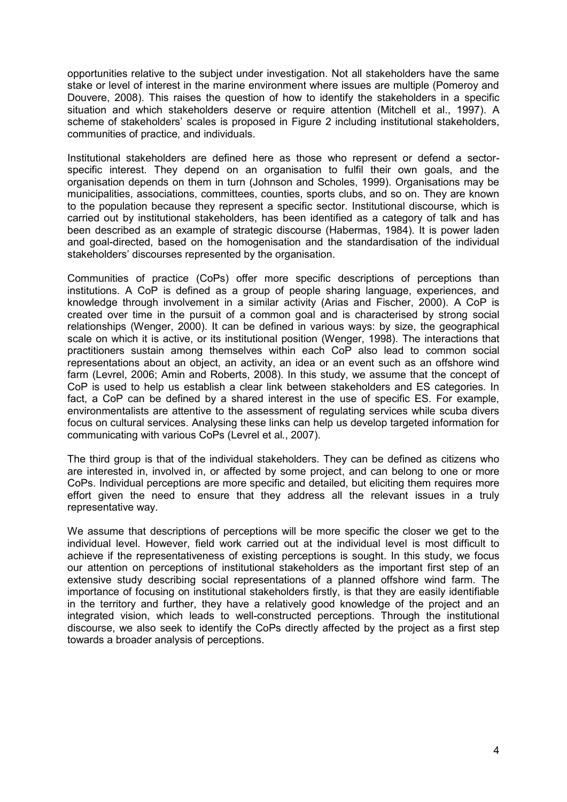opportunities relative to the subject under investigation. Not all stakeholders have the same stake or level of interest in the marine environment where issues are multiple (Pomeroy and Douvere, 2008). This raises the question of how to identify the stakeholders in a specific situation and which stakeholders deserve or require attention (Mitchell et al., 1997). A scheme of stakeholders' scales is proposed in Figure 2 including institutional stakeholders, communities of practice, and individuals.

Institutional stakeholders are defined here as those who represent or defend a sectorspecific interest. They depend on an organisation to fulfil their own goals, and the organisation depends on them in turn (Johnson and Scholes, 1999). Organisations may be municipalities, associations, committees, counties, sports clubs, and so on. They are known to the population because they represent a specific sector. Institutional discourse, which is carried out by institutional stakeholders, has been identified as a category of talk and has been described as an example of strategic discourse (Habermas, 1984). It is power laden and goal-directed, based on the homogenisation and the standardisation of the individual stakeholders' discourses represented by the organisation.

Communities of practice (CoPs) offer more specific descriptions of perceptions than institutions. A CoP is defined as a group of people sharing language, experiences, and knowledge through involvement in a similar activity (Arias and Fischer, 2000). A CoP is created over time in the pursuit of a common goal and is characterised by strong social relationships (Wenger, 2000). It can be defined in various ways: by size, the geographical scale on which it is active, or its institutional position (Wenger, 1998). The interactions that practitioners sustain among themselves within each CoP also lead to common social representations about an object, an activity, an idea or an event such as an offshore wind farm (Levrel, 2006; Amin and Roberts, 2008). In this study, we assume that the concept of CoP is used to help us establish a clear link between stakeholders and ES categories. In fact, a CoP can be defined by a shared interest in the use of specific ES. For example, environmentalists are attentive to the assessment of regulating services while scuba divers focus on cultural services. Analysing these links can help us develop targeted information for communicating with various CoPs (Levrel et al*.*, 2007).

The third group is that of the individual stakeholders. They can be defined as citizens who are interested in, involved in, or affected by some project, and can belong to one or more CoPs. Individual perceptions are more specific and detailed, but eliciting them requires more effort given the need to ensure that they address all the relevant issues in a truly representative way.

We assume that descriptions of perceptions will be more specific the closer we get to the individual level. However, field work carried out at the individual level is most difficult to achieve if the representativeness of existing perceptions is sought. In this study, we focus our attention on perceptions of institutional stakeholders as the important first step of an extensive study describing social representations of a planned offshore wind farm. The importance of focusing on institutional stakeholders firstly, is that they are easily identifiable in the territory and further, they have a relatively good knowledge of the project and an integrated vision, which leads to well-constructed perceptions. Through the institutional discourse, we also seek to identify the CoPs directly affected by the project as a first step towards a broader analysis of perceptions.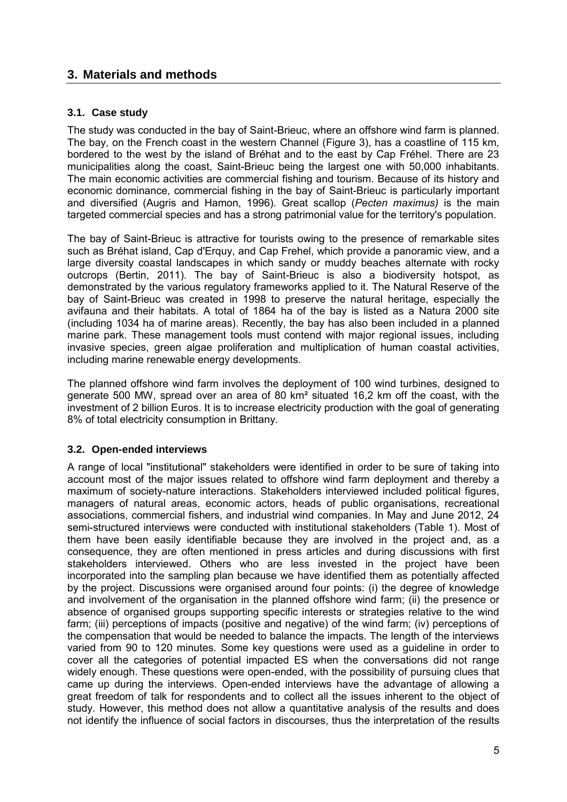# **3. Materials and methods**

#### **3.1. Case study**

The study was conducted in the bay of Saint-Brieuc, where an offshore wind farm is planned. The bay, on the French coast in the western Channel (Figure 3), has a coastline of 115 km, bordered to the west by the island of Bréhat and to the east by Cap Fréhel. There are 23 municipalities along the coast, Saint-Brieuc being the largest one with 50,000 inhabitants. The main economic activities are commercial fishing and tourism. Because of its history and economic dominance, commercial fishing in the bay of Saint-Brieuc is particularly important and diversified (Augris and Hamon, 1996). Great scallop (*Pecten maximus)* is the main targeted commercial species and has a strong patrimonial value for the territory's population.

The bay of Saint-Brieuc is attractive for tourists owing to the presence of remarkable sites such as Bréhat island, Cap d'Erquy, and Cap Frehel, which provide a panoramic view, and a large diversity coastal landscapes in which sandy or muddy beaches alternate with rocky outcrops (Bertin, 2011). The bay of Saint-Brieuc is also a biodiversity hotspot, as demonstrated by the various regulatory frameworks applied to it. The Natural Reserve of the bay of Saint-Brieuc was created in 1998 to preserve the natural heritage, especially the avifauna and their habitats. A total of 1864 ha of the bay is listed as a Natura 2000 site (including 1034 ha of marine areas). Recently, the bay has also been included in a planned marine park. These management tools must contend with major regional issues, including invasive species, green algae proliferation and multiplication of human coastal activities, including marine renewable energy developments.

The planned offshore wind farm involves the deployment of 100 wind turbines, designed to generate 500 MW, spread over an area of 80 km² situated 16,2 km off the coast, with the investment of 2 billion Euros. It is to increase electricity production with the goal of generating 8% of total electricity consumption in Brittany.

### **3.2. Open-ended interviews**

A range of local "institutional" stakeholders were identified in order to be sure of taking into account most of the major issues related to offshore wind farm deployment and thereby a maximum of society-nature interactions. Stakeholders interviewed included political figures, managers of natural areas, economic actors, heads of public organisations, recreational associations, commercial fishers, and industrial wind companies. In May and June 2012, 24 semi-structured interviews were conducted with institutional stakeholders (Table 1). Most of them have been easily identifiable because they are involved in the project and, as a consequence, they are often mentioned in press articles and during discussions with first stakeholders interviewed. Others who are less invested in the project have been incorporated into the sampling plan because we have identified them as potentially affected by the project. Discussions were organised around four points: (i) the degree of knowledge and involvement of the organisation in the planned offshore wind farm; (ii) the presence or absence of organised groups supporting specific interests or strategies relative to the wind farm; (iii) perceptions of impacts (positive and negative) of the wind farm; (iv) perceptions of the compensation that would be needed to balance the impacts. The length of the interviews varied from 90 to 120 minutes. Some key questions were used as a guideline in order to cover all the categories of potential impacted ES when the conversations did not range widely enough. These questions were open-ended, with the possibility of pursuing clues that came up during the interviews. Open-ended interviews have the advantage of allowing a great freedom of talk for respondents and to collect all the issues inherent to the object of study. However, this method does not allow a quantitative analysis of the results and does not identify the influence of social factors in discourses, thus the interpretation of the results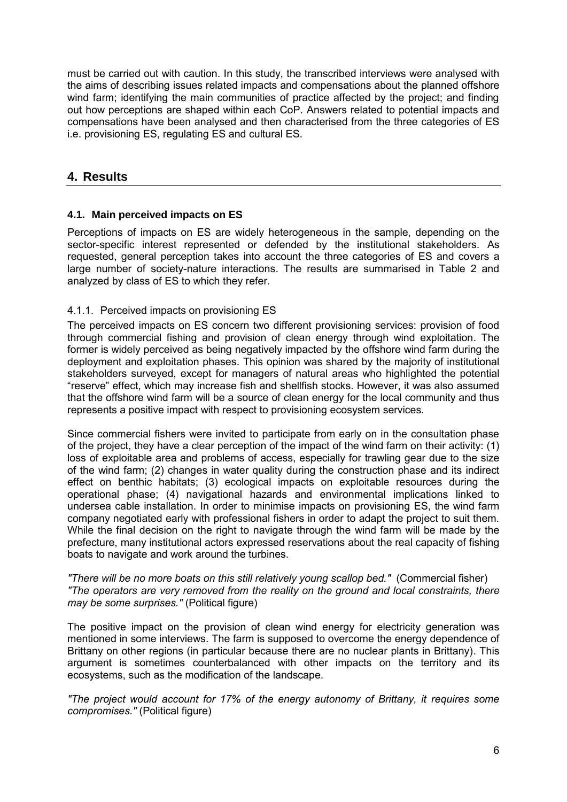must be carried out with caution. In this study, the transcribed interviews were analysed with the aims of describing issues related impacts and compensations about the planned offshore wind farm; identifying the main communities of practice affected by the project; and finding out how perceptions are shaped within each CoP. Answers related to potential impacts and compensations have been analysed and then characterised from the three categories of ES i.e. provisioning ES, regulating ES and cultural ES.

# **4. Results**

### **4.1. Main perceived impacts on ES**

Perceptions of impacts on ES are widely heterogeneous in the sample, depending on the sector-specific interest represented or defended by the institutional stakeholders. As requested, general perception takes into account the three categories of ES and covers a large number of society-nature interactions. The results are summarised in Table 2 and analyzed by class of ES to which they refer.

#### 4.1.1. Perceived impacts on provisioning ES

The perceived impacts on ES concern two different provisioning services: provision of food through commercial fishing and provision of clean energy through wind exploitation. The former is widely perceived as being negatively impacted by the offshore wind farm during the deployment and exploitation phases. This opinion was shared by the majority of institutional stakeholders surveyed, except for managers of natural areas who highlighted the potential "reserve" effect, which may increase fish and shellfish stocks. However, it was also assumed that the offshore wind farm will be a source of clean energy for the local community and thus represents a positive impact with respect to provisioning ecosystem services.

Since commercial fishers were invited to participate from early on in the consultation phase of the project, they have a clear perception of the impact of the wind farm on their activity: (1) loss of exploitable area and problems of access, especially for trawling gear due to the size of the wind farm; (2) changes in water quality during the construction phase and its indirect effect on benthic habitats; (3) ecological impacts on exploitable resources during the operational phase; (4) navigational hazards and environmental implications linked to undersea cable installation. In order to minimise impacts on provisioning ES, the wind farm company negotiated early with professional fishers in order to adapt the project to suit them. While the final decision on the right to navigate through the wind farm will be made by the prefecture, many institutional actors expressed reservations about the real capacity of fishing boats to navigate and work around the turbines.

*"There will be no more boats on this still relatively young scallop bed."* (Commercial fisher) *"The operators are very removed from the reality on the ground and local constraints, there may be some surprises."* (Political figure)

The positive impact on the provision of clean wind energy for electricity generation was mentioned in some interviews. The farm is supposed to overcome the energy dependence of Brittany on other regions (in particular because there are no nuclear plants in Brittany). This argument is sometimes counterbalanced with other impacts on the territory and its ecosystems, such as the modification of the landscape.

*"The project would account for 17% of the energy autonomy of Brittany, it requires some compromises."* (Political figure)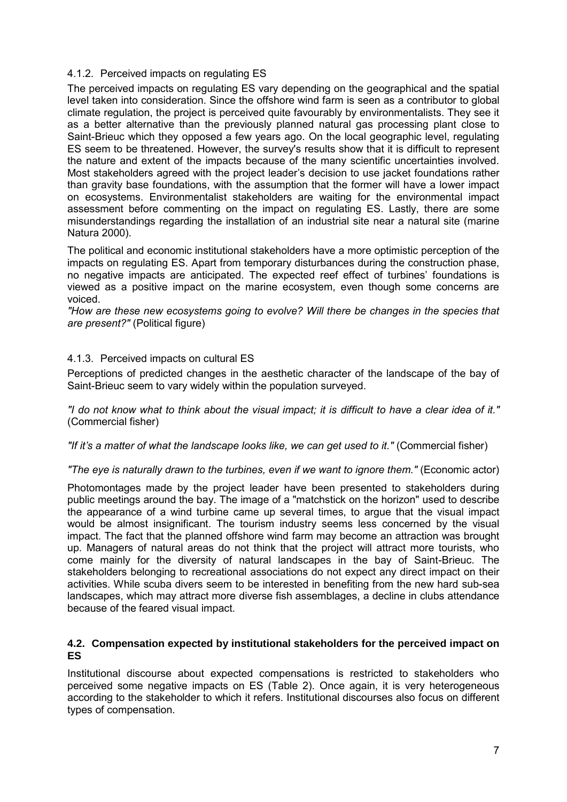#### 4.1.2. Perceived impacts on regulating ES

The perceived impacts on regulating ES vary depending on the geographical and the spatial level taken into consideration. Since the offshore wind farm is seen as a contributor to global climate regulation, the project is perceived quite favourably by environmentalists. They see it as a better alternative than the previously planned natural gas processing plant close to Saint-Brieuc which they opposed a few years ago. On the local geographic level, regulating ES seem to be threatened. However, the survey's results show that it is difficult to represent the nature and extent of the impacts because of the many scientific uncertainties involved. Most stakeholders agreed with the project leader's decision to use jacket foundations rather than gravity base foundations, with the assumption that the former will have a lower impact on ecosystems. Environmentalist stakeholders are waiting for the environmental impact assessment before commenting on the impact on regulating ES. Lastly, there are some misunderstandings regarding the installation of an industrial site near a natural site (marine Natura 2000).

The political and economic institutional stakeholders have a more optimistic perception of the impacts on regulating ES. Apart from temporary disturbances during the construction phase, no negative impacts are anticipated. The expected reef effect of turbines' foundations is viewed as a positive impact on the marine ecosystem, even though some concerns are voiced.

*"How are these new ecosystems going to evolve? Will there be changes in the species that are present?"* (Political figure)

#### 4.1.3. Perceived impacts on cultural ES

Perceptions of predicted changes in the aesthetic character of the landscape of the bay of Saint-Brieuc seem to vary widely within the population surveyed.

*"I do not know what to think about the visual impact; it is difficult to have a clear idea of it."* (Commercial fisher)

*"If it's a matter of what the landscape looks like, we can get used to it."* (Commercial fisher)

*"The eye is naturally drawn to the turbines, even if we want to ignore them."* (Economic actor)

Photomontages made by the project leader have been presented to stakeholders during public meetings around the bay. The image of a "matchstick on the horizon" used to describe the appearance of a wind turbine came up several times, to argue that the visual impact would be almost insignificant. The tourism industry seems less concerned by the visual impact. The fact that the planned offshore wind farm may become an attraction was brought up. Managers of natural areas do not think that the project will attract more tourists, who come mainly for the diversity of natural landscapes in the bay of Saint-Brieuc. The stakeholders belonging to recreational associations do not expect any direct impact on their activities. While scuba divers seem to be interested in benefiting from the new hard sub-sea landscapes, which may attract more diverse fish assemblages, a decline in clubs attendance because of the feared visual impact.

#### **4.2. Compensation expected by institutional stakeholders for the perceived impact on ES**

Institutional discourse about expected compensations is restricted to stakeholders who perceived some negative impacts on ES (Table 2). Once again, it is very heterogeneous according to the stakeholder to which it refers. Institutional discourses also focus on different types of compensation.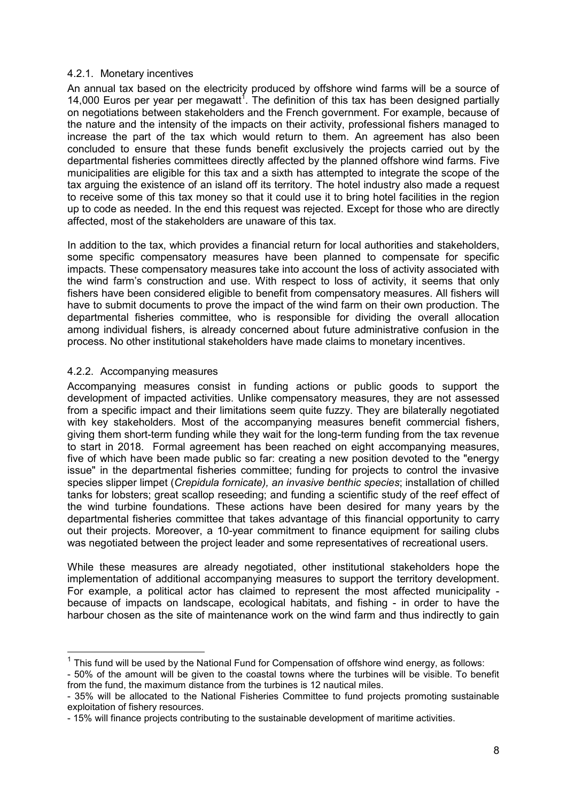#### 4.2.1. Monetary incentives

An annual tax based on the electricity produced by offshore wind farms will be a source of 14,000 Euros per year per megawatt<sup>1</sup>. The definition of this tax has been designed partially on negotiations between stakeholders and the French government. For example, because of the nature and the intensity of the impacts on their activity, professional fishers managed to increase the part of the tax which would return to them. An agreement has also been concluded to ensure that these funds benefit exclusively the projects carried out by the departmental fisheries committees directly affected by the planned offshore wind farms. Five municipalities are eligible for this tax and a sixth has attempted to integrate the scope of the tax arguing the existence of an island off its territory. The hotel industry also made a request to receive some of this tax money so that it could use it to bring hotel facilities in the region up to code as needed. In the end this request was rejected. Except for those who are directly affected, most of the stakeholders are unaware of this tax.

In addition to the tax, which provides a financial return for local authorities and stakeholders, some specific compensatory measures have been planned to compensate for specific impacts. These compensatory measures take into account the loss of activity associated with the wind farm's construction and use. With respect to loss of activity, it seems that only fishers have been considered eligible to benefit from compensatory measures. All fishers will have to submit documents to prove the impact of the wind farm on their own production. The departmental fisheries committee, who is responsible for dividing the overall allocation among individual fishers, is already concerned about future administrative confusion in the process. No other institutional stakeholders have made claims to monetary incentives.

#### 4.2.2. Accompanying measures

 $\overline{a}$ 

Accompanying measures consist in funding actions or public goods to support the development of impacted activities. Unlike compensatory measures, they are not assessed from a specific impact and their limitations seem quite fuzzy. They are bilaterally negotiated with key stakeholders. Most of the accompanying measures benefit commercial fishers, giving them short-term funding while they wait for the long-term funding from the tax revenue to start in 2018. Formal agreement has been reached on eight accompanying measures, five of which have been made public so far: creating a new position devoted to the "energy issue" in the departmental fisheries committee; funding for projects to control the invasive species slipper limpet (*Crepidula fornicate), an invasive benthic species*; installation of chilled tanks for lobsters; great scallop reseeding; and funding a scientific study of the reef effect of the wind turbine foundations. These actions have been desired for many years by the departmental fisheries committee that takes advantage of this financial opportunity to carry out their projects. Moreover, a 10-year commitment to finance equipment for sailing clubs was negotiated between the project leader and some representatives of recreational users.

While these measures are already negotiated, other institutional stakeholders hope the implementation of additional accompanying measures to support the territory development. For example, a political actor has claimed to represent the most affected municipality because of impacts on landscape, ecological habitats, and fishing - in order to have the harbour chosen as the site of maintenance work on the wind farm and thus indirectly to gain

 $1$  This fund will be used by the National Fund for Compensation of offshore wind energy, as follows:

<sup>- 50%</sup> of the amount will be given to the coastal towns where the turbines will be visible. To benefit from the fund, the maximum distance from the turbines is 12 nautical miles.

<sup>- 35%</sup> will be allocated to the National Fisheries Committee to fund projects promoting sustainable exploitation of fishery resources.

<sup>- 15%</sup> will finance projects contributing to the sustainable development of maritime activities.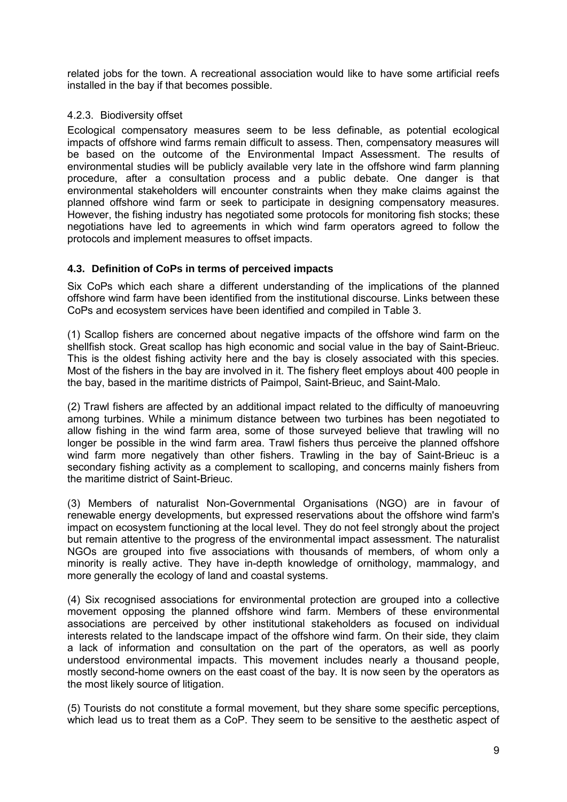related jobs for the town. A recreational association would like to have some artificial reefs installed in the bay if that becomes possible.

### 4.2.3. Biodiversity offset

Ecological compensatory measures seem to be less definable, as potential ecological impacts of offshore wind farms remain difficult to assess. Then, compensatory measures will be based on the outcome of the Environmental Impact Assessment. The results of environmental studies will be publicly available very late in the offshore wind farm planning procedure, after a consultation process and a public debate. One danger is that environmental stakeholders will encounter constraints when they make claims against the planned offshore wind farm or seek to participate in designing compensatory measures. However, the fishing industry has negotiated some protocols for monitoring fish stocks; these negotiations have led to agreements in which wind farm operators agreed to follow the protocols and implement measures to offset impacts.

#### **4.3. Definition of CoPs in terms of perceived impacts**

Six CoPs which each share a different understanding of the implications of the planned offshore wind farm have been identified from the institutional discourse. Links between these CoPs and ecosystem services have been identified and compiled in Table 3.

(1) Scallop fishers are concerned about negative impacts of the offshore wind farm on the shellfish stock. Great scallop has high economic and social value in the bay of Saint-Brieuc. This is the oldest fishing activity here and the bay is closely associated with this species. Most of the fishers in the bay are involved in it. The fishery fleet employs about 400 people in the bay, based in the maritime districts of Paimpol, Saint-Brieuc, and Saint-Malo.

(2) Trawl fishers are affected by an additional impact related to the difficulty of manoeuvring among turbines. While a minimum distance between two turbines has been negotiated to allow fishing in the wind farm area, some of those surveyed believe that trawling will no longer be possible in the wind farm area. Trawl fishers thus perceive the planned offshore wind farm more negatively than other fishers. Trawling in the bay of Saint-Brieuc is a secondary fishing activity as a complement to scalloping, and concerns mainly fishers from the maritime district of Saint-Brieuc.

(3) Members of naturalist Non-Governmental Organisations (NGO) are in favour of renewable energy developments, but expressed reservations about the offshore wind farm's impact on ecosystem functioning at the local level. They do not feel strongly about the project but remain attentive to the progress of the environmental impact assessment. The naturalist NGOs are grouped into five associations with thousands of members, of whom only a minority is really active. They have in-depth knowledge of ornithology, mammalogy, and more generally the ecology of land and coastal systems.

(4) Six recognised associations for environmental protection are grouped into a collective movement opposing the planned offshore wind farm. Members of these environmental associations are perceived by other institutional stakeholders as focused on individual interests related to the landscape impact of the offshore wind farm. On their side, they claim a lack of information and consultation on the part of the operators, as well as poorly understood environmental impacts. This movement includes nearly a thousand people, mostly second-home owners on the east coast of the bay. It is now seen by the operators as the most likely source of litigation.

(5) Tourists do not constitute a formal movement, but they share some specific perceptions, which lead us to treat them as a CoP. They seem to be sensitive to the aesthetic aspect of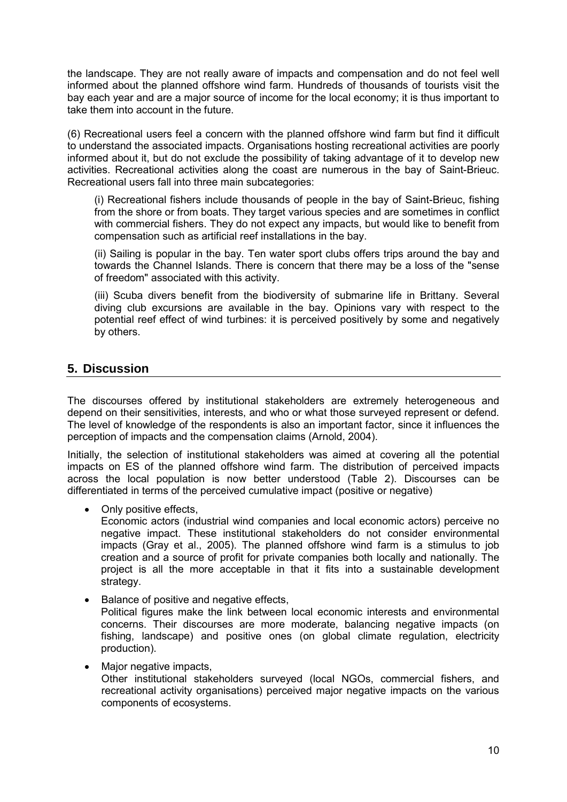the landscape. They are not really aware of impacts and compensation and do not feel well informed about the planned offshore wind farm. Hundreds of thousands of tourists visit the bay each year and are a major source of income for the local economy; it is thus important to take them into account in the future.

(6) Recreational users feel a concern with the planned offshore wind farm but find it difficult to understand the associated impacts. Organisations hosting recreational activities are poorly informed about it, but do not exclude the possibility of taking advantage of it to develop new activities. Recreational activities along the coast are numerous in the bay of Saint-Brieuc. Recreational users fall into three main subcategories:

(i) Recreational fishers include thousands of people in the bay of Saint-Brieuc, fishing from the shore or from boats. They target various species and are sometimes in conflict with commercial fishers. They do not expect any impacts, but would like to benefit from compensation such as artificial reef installations in the bay.

(ii) Sailing is popular in the bay. Ten water sport clubs offers trips around the bay and towards the Channel Islands. There is concern that there may be a loss of the "sense of freedom" associated with this activity.

(iii) Scuba divers benefit from the biodiversity of submarine life in Brittany. Several diving club excursions are available in the bay. Opinions vary with respect to the potential reef effect of wind turbines: it is perceived positively by some and negatively by others.

# **5. Discussion**

The discourses offered by institutional stakeholders are extremely heterogeneous and depend on their sensitivities, interests, and who or what those surveyed represent or defend. The level of knowledge of the respondents is also an important factor, since it influences the perception of impacts and the compensation claims (Arnold, 2004).

Initially, the selection of institutional stakeholders was aimed at covering all the potential impacts on ES of the planned offshore wind farm. The distribution of perceived impacts across the local population is now better understood (Table 2). Discourses can be differentiated in terms of the perceived cumulative impact (positive or negative)

• Only positive effects,

Economic actors (industrial wind companies and local economic actors) perceive no negative impact. These institutional stakeholders do not consider environmental impacts (Gray et al., 2005). The planned offshore wind farm is a stimulus to job creation and a source of profit for private companies both locally and nationally. The project is all the more acceptable in that it fits into a sustainable development strategy.

- Balance of positive and negative effects, Political figures make the link between local economic interests and environmental concerns. Their discourses are more moderate, balancing negative impacts (on fishing, landscape) and positive ones (on global climate regulation, electricity production).
- Major negative impacts, Other institutional stakeholders surveyed (local NGOs, commercial fishers, and recreational activity organisations) perceived major negative impacts on the various components of ecosystems.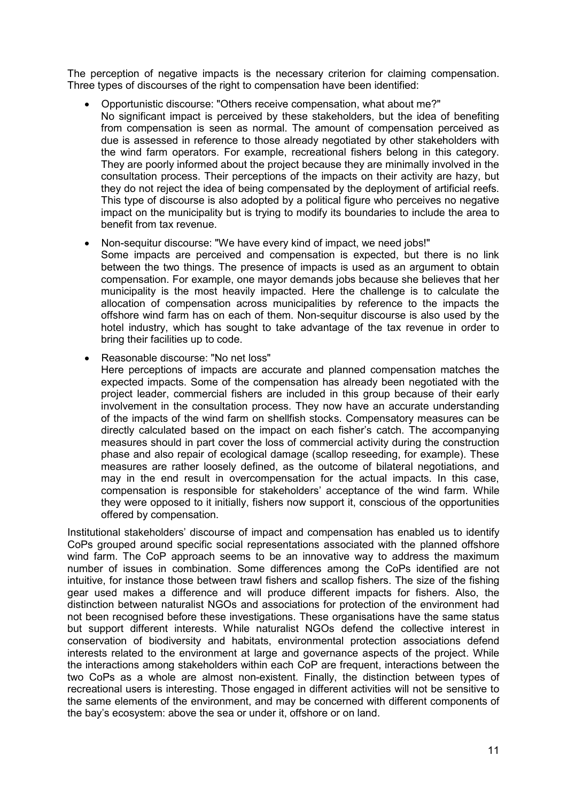The perception of negative impacts is the necessary criterion for claiming compensation. Three types of discourses of the right to compensation have been identified:

- Opportunistic discourse: "Others receive compensation, what about me?" No significant impact is perceived by these stakeholders, but the idea of benefiting from compensation is seen as normal. The amount of compensation perceived as due is assessed in reference to those already negotiated by other stakeholders with the wind farm operators. For example, recreational fishers belong in this category. They are poorly informed about the project because they are minimally involved in the consultation process. Their perceptions of the impacts on their activity are hazy, but they do not reject the idea of being compensated by the deployment of artificial reefs. This type of discourse is also adopted by a political figure who perceives no negative impact on the municipality but is trying to modify its boundaries to include the area to benefit from tax revenue.
- Non-sequitur discourse: "We have every kind of impact, we need jobs!" Some impacts are perceived and compensation is expected, but there is no link between the two things. The presence of impacts is used as an argument to obtain compensation. For example, one mayor demands jobs because she believes that her municipality is the most heavily impacted. Here the challenge is to calculate the allocation of compensation across municipalities by reference to the impacts the offshore wind farm has on each of them. Non-sequitur discourse is also used by the hotel industry, which has sought to take advantage of the tax revenue in order to bring their facilities up to code.
- Reasonable discourse: "No net loss"
	- Here perceptions of impacts are accurate and planned compensation matches the expected impacts. Some of the compensation has already been negotiated with the project leader, commercial fishers are included in this group because of their early involvement in the consultation process. They now have an accurate understanding of the impacts of the wind farm on shellfish stocks. Compensatory measures can be directly calculated based on the impact on each fisher's catch. The accompanying measures should in part cover the loss of commercial activity during the construction phase and also repair of ecological damage (scallop reseeding, for example). These measures are rather loosely defined, as the outcome of bilateral negotiations, and may in the end result in overcompensation for the actual impacts. In this case, compensation is responsible for stakeholders' acceptance of the wind farm. While they were opposed to it initially, fishers now support it, conscious of the opportunities offered by compensation.

Institutional stakeholders' discourse of impact and compensation has enabled us to identify CoPs grouped around specific social representations associated with the planned offshore wind farm. The CoP approach seems to be an innovative way to address the maximum number of issues in combination. Some differences among the CoPs identified are not intuitive, for instance those between trawl fishers and scallop fishers. The size of the fishing gear used makes a difference and will produce different impacts for fishers. Also, the distinction between naturalist NGOs and associations for protection of the environment had not been recognised before these investigations. These organisations have the same status but support different interests. While naturalist NGOs defend the collective interest in conservation of biodiversity and habitats, environmental protection associations defend interests related to the environment at large and governance aspects of the project. While the interactions among stakeholders within each CoP are frequent, interactions between the two CoPs as a whole are almost non-existent. Finally, the distinction between types of recreational users is interesting. Those engaged in different activities will not be sensitive to the same elements of the environment, and may be concerned with different components of the bay's ecosystem: above the sea or under it, offshore or on land.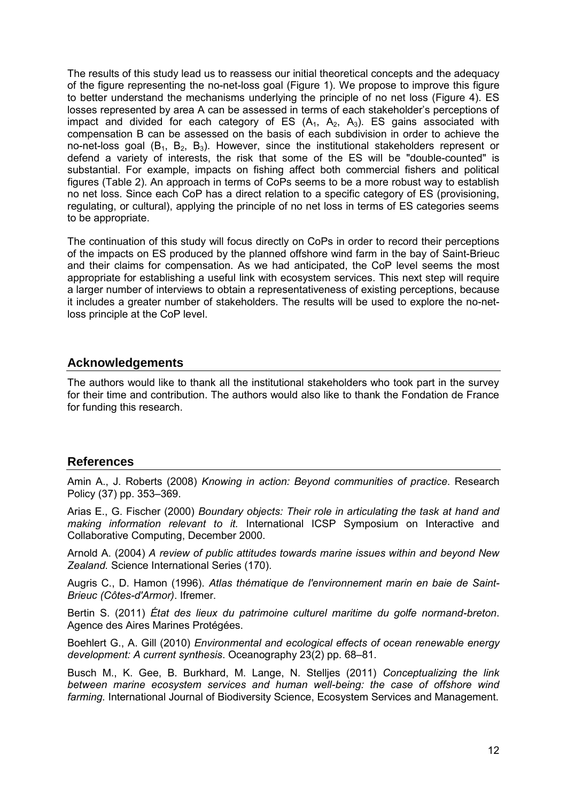The results of this study lead us to reassess our initial theoretical concepts and the adequacy of the figure representing the no-net-loss goal (Figure 1). We propose to improve this figure to better understand the mechanisms underlying the principle of no net loss (Figure 4). ES losses represented by area A can be assessed in terms of each stakeholder's perceptions of impact and divided for each category of ES  $(A_1, A_2, A_3)$ . ES gains associated with compensation B can be assessed on the basis of each subdivision in order to achieve the no-net-loss goal  $(B_1, B_2, B_3)$ . However, since the institutional stakeholders represent or defend a variety of interests, the risk that some of the ES will be "double-counted" is substantial. For example, impacts on fishing affect both commercial fishers and political figures (Table 2). An approach in terms of CoPs seems to be a more robust way to establish no net loss. Since each CoP has a direct relation to a specific category of ES (provisioning, regulating, or cultural), applying the principle of no net loss in terms of ES categories seems to be appropriate.

The continuation of this study will focus directly on CoPs in order to record their perceptions of the impacts on ES produced by the planned offshore wind farm in the bay of Saint-Brieuc and their claims for compensation. As we had anticipated, the CoP level seems the most appropriate for establishing a useful link with ecosystem services. This next step will require a larger number of interviews to obtain a representativeness of existing perceptions, because it includes a greater number of stakeholders. The results will be used to explore the no-netloss principle at the CoP level.

# **Acknowledgements**

The authors would like to thank all the institutional stakeholders who took part in the survey for their time and contribution. The authors would also like to thank the Fondation de France for funding this research.

# **References**

Amin A., J. Roberts (2008) *Knowing in action: Beyond communities of practice*. Research Policy (37) pp. 353–369.

Arias E., G. Fischer (2000) *Boundary objects: Their role in articulating the task at hand and making information relevant to it.* International ICSP Symposium on Interactive and Collaborative Computing, December 2000.

Arnold A. (2004) *A review of public attitudes towards marine issues within and beyond New Zealand.* Science International Series (170).

Augris C., D. Hamon (1996). *Atlas thématique de l'environnement marin en baie de Saint-Brieuc (Côtes-d'Armor)*. Ifremer.

Bertin S. (2011) *État des lieux du patrimoine culturel maritime du golfe normand-breton*. Agence des Aires Marines Protégées.

Boehlert G., A. Gill (2010) *Environmental and ecological effects of ocean renewable energy development: A current synthesis*. Oceanography 23(2) pp. 68–81.

Busch M., K. Gee, B. Burkhard, M. Lange, N. Stelljes (2011) *Conceptualizing the link between marine ecosystem services and human well-being: the case of offshore wind farming.* International Journal of Biodiversity Science, Ecosystem Services and Management.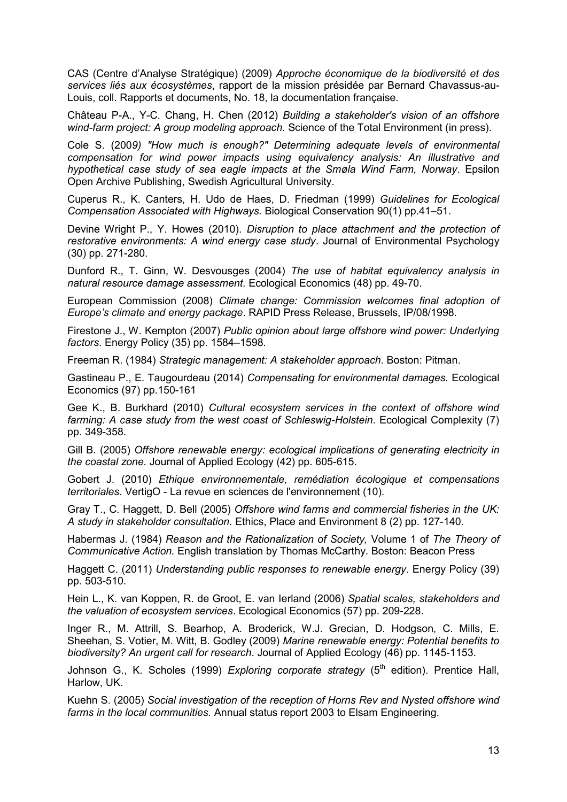CAS (Centre d'Analyse Stratégique) (2009) *Approche économique de la biodiversité et des services liés aux écosystèmes*, rapport de la mission présidée par Bernard Chavassus-au-Louis, coll. Rapports et documents, No. 18, la documentation française.

Château P-A., Y-C. Chang, H. Chen (2012) *Building a stakeholder's vision of an offshore wind-farm project: A group modeling approach.* Science of the Total Environment (in press).

Cole S. (200*9) "How much is enough?" Determining adequate levels of environmental compensation for wind power impacts using equivalency analysis: An illustrative and hypothetical case study of sea eagle impacts at the Smøla Wind Farm, Norway*. Epsilon Open Archive Publishing, Swedish Agricultural University.

Cuperus R., K. Canters, H. Udo de Haes, D. Friedman (1999) *Guidelines for Ecological Compensation Associated with Highways.* Biological Conservation 90(1) pp.41–51.

Devine Wright P., Y. Howes (2010). *Disruption to place attachment and the protection of restorative environments: A wind energy case study*. Journal of Environmental Psychology (30) pp. 271-280.

Dunford R., T. Ginn, W. Desvousges (2004) *The use of habitat equivalency analysis in natural resource damage assessment*. Ecological Economics (48) pp. 49-70.

European Commission (2008) *Climate change: Commission welcomes final adoption of Europe's climate and energy package*. RAPID Press Release, Brussels, IP/08/1998.

Firestone J., W. Kempton (2007) *Public opinion about large offshore wind power: Underlying factors*. Energy Policy (35) pp. 1584–1598.

Freeman R. (1984) *Strategic management: A stakeholder approach*. Boston: Pitman.

Gastineau P., E. Taugourdeau (2014) *Compensating for environmental damages.* Ecological Economics (97) pp.150-161

Gee K., B. Burkhard (2010) *Cultural ecosystem services in the context of offshore wind farming: A case study from the west coast of Schleswig-Holstein*. Ecological Complexity (7) pp. 349-358.

Gill B. (2005) *Offshore renewable energy: ecological implications of generating electricity in the coastal zone.* Journal of Applied Ecology (42) pp. 605-615.

Gobert J. (2010) *Ethique environnementale, remédiation écologique et compensations territoriales*. VertigO - La revue en sciences de l'environnement (10).

Gray T., C. Haggett, D. Bell (2005) *Offshore wind farms and commercial fisheries in the UK: A study in stakeholder consultation*. Ethics, Place and Environment 8 (2) pp. 127-140.

Habermas J. (1984) *Reason and the Rationalization of Society,* Volume 1 of *The Theory of Communicative Action.* English translation by Thomas McCarthy. Boston: Beacon Press

Haggett C. (2011) *Understanding public responses to renewable energy*. Energy Policy (39) pp. 503-510.

Hein L., K. van Koppen, R. de Groot, E. van Ierland (2006) *Spatial scales, stakeholders and the valuation of ecosystem services*. Ecological Economics (57) pp. 209-228.

Inger R., M. Attrill, S. Bearhop, A. Broderick, W.J. Grecian, D. Hodgson, C. Mills, E. Sheehan, S. Votier, M. Witt, B. Godley (2009) *Marine renewable energy: Potential benefits to biodiversity? An urgent call for research*. Journal of Applied Ecology (46) pp. 1145-1153.

Johnson G., K. Scholes (1999) *Exploring corporate strategy* (5<sup>th</sup> edition). Prentice Hall. Harlow, UK.

Kuehn S. (2005) *Social investigation of the reception of Horns Rev and Nysted offshore wind farms in the local communities.* Annual status report 2003 to Elsam Engineering.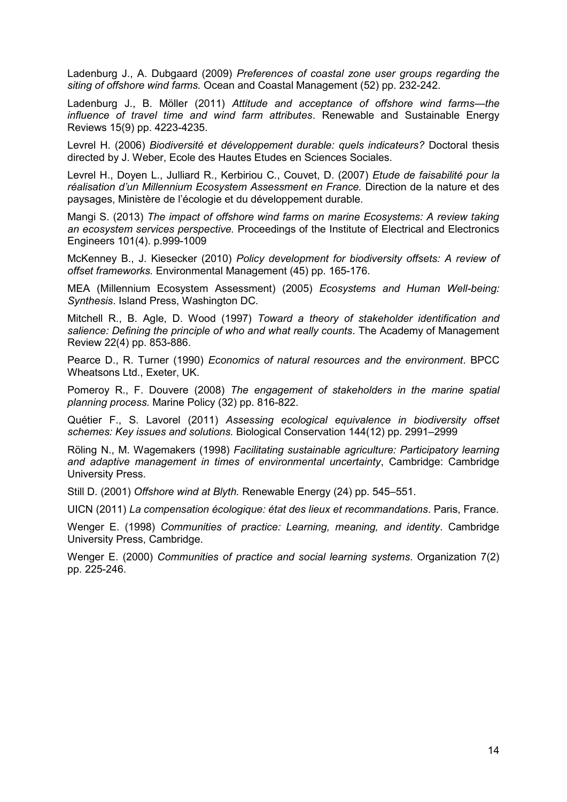Ladenburg J., A. Dubgaard (2009) *Preferences of coastal zone user groups regarding the siting of offshore wind farms.* Ocean and Coastal Management (52) pp. 232-242.

Ladenburg J., B. Möller (2011) *Attitude and acceptance of offshore wind farms—the influence of travel time and wind farm attributes*. Renewable and Sustainable Energy Reviews 15(9) pp. 4223-4235.

Levrel H. (2006) *Biodiversité et développement durable: quels indicateurs?* Doctoral thesis directed by J. Weber, Ecole des Hautes Etudes en Sciences Sociales.

Levrel H., Doyen L., Julliard R., Kerbiriou C., Couvet, D. (2007) *Etude de faisabilité pour la réalisation d'un Millennium Ecosystem Assessment en France.* Direction de la nature et des paysages, Ministère de l'écologie et du développement durable.

Mangi S. (2013) *The impact of offshore wind farms on marine Ecosystems: A review taking an ecosystem services perspective.* Proceedings of the Institute of Electrical and Electronics Engineers 101(4). p.999-1009

McKenney B., J. Kiesecker (2010) *Policy development for biodiversity offsets: A review of offset frameworks.* Environmental Management (45) pp. 165-176.

MEA (Millennium Ecosystem Assessment) (2005) *Ecosystems and Human Well-being: Synthesis*. Island Press, Washington DC.

Mitchell R., B. Agle, D. Wood (1997) *Toward a theory of stakeholder identification and salience: Defining the principle of who and what really counts*. The Academy of Management Review 22(4) pp. 853-886.

Pearce D., R. Turner (1990) *Economics of natural resources and the environment*. BPCC Wheatsons Ltd., Exeter, UK.

Pomeroy R., F. Douvere (2008) *The engagement of stakeholders in the marine spatial planning process.* Marine Policy (32) pp. 816-822.

Quétier F., S. Lavorel (2011) *Assessing ecological equivalence in biodiversity offset schemes: Key issues and solutions.* Biological Conservation 144(12) pp. 2991–2999

Röling N., M. Wagemakers (1998) *Facilitating sustainable agriculture: Participatory learning and adaptive management in times of environmental uncertainty*, Cambridge: Cambridge University Press.

Still D. (2001) *Offshore wind at Blyth.* Renewable Energy (24) pp. 545–551.

UICN (2011) *La compensation écologique: état des lieux et recommandations*. Paris, France.

Wenger E. (1998) *Communities of practice: Learning, meaning, and identity*. Cambridge University Press, Cambridge.

Wenger E. (2000) *Communities of practice and social learning systems*. Organization 7(2) pp. 225-246.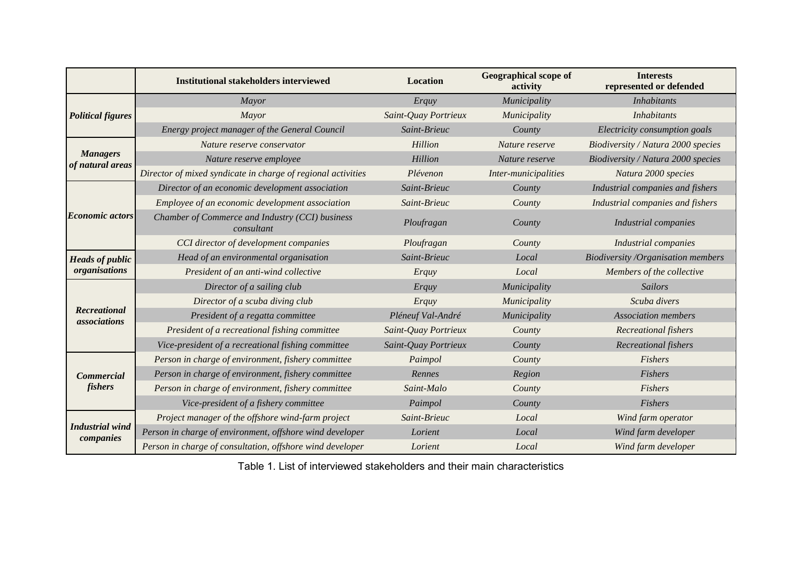|                                         | <b>Institutional stakeholders interviewed</b>                 | <b>Location</b>      | <b>Geographical scope of</b><br>activity | <b>Interests</b><br>represented or defended |
|-----------------------------------------|---------------------------------------------------------------|----------------------|------------------------------------------|---------------------------------------------|
| <b>Political figures</b>                | Mayor                                                         | Erquy                | Municipality                             | <b>Inhabitants</b>                          |
|                                         | Mayor                                                         | Saint-Quay Portrieux | Municipality                             | <b>Inhabitants</b>                          |
|                                         | Energy project manager of the General Council                 | Saint-Brieuc         | County                                   | Electricity consumption goals               |
| <b>Managers</b><br>of natural areas     | Nature reserve conservator                                    | Hillion              | Nature reserve                           | Biodiversity / Natura 2000 species          |
|                                         | Nature reserve employee                                       | Hillion              | Nature reserve                           | Biodiversity / Natura 2000 species          |
|                                         | Director of mixed syndicate in charge of regional activities  | Plévenon             | Inter-municipalities                     | Natura 2000 species                         |
| <b>Economic actors</b>                  | Director of an economic development association               | Saint-Brieuc         | County                                   | Industrial companies and fishers            |
|                                         | Employee of an economic development association               | Saint-Brieuc         | County                                   | Industrial companies and fishers            |
|                                         | Chamber of Commerce and Industry (CCI) business<br>consultant | Ploufragan           | County                                   | Industrial companies                        |
|                                         | CCI director of development companies                         | Ploufragan           | County                                   | Industrial companies                        |
| <b>Heads of public</b><br>organisations | Head of an environmental organisation                         | Saint-Brieuc         | Local                                    | <b>Biodiversity /Organisation members</b>   |
|                                         | President of an anti-wind collective                          | Erquy                | Local                                    | Members of the collective                   |
| <b>Recreational</b><br>associations     | Director of a sailing club                                    | Erquy                | Municipality                             | <b>Sailors</b>                              |
|                                         | Director of a scuba diving club                               | Erquy                | Municipality                             | Scuba divers                                |
|                                         | President of a regatta committee                              | Pléneuf Val-André    | Municipality                             | <b>Association members</b>                  |
|                                         | President of a recreational fishing committee                 | Saint-Quay Portrieux | County                                   | <b>Recreational fishers</b>                 |
|                                         | Vice-president of a recreational fishing committee            | Saint-Quay Portrieux | County                                   | Recreational fishers                        |
| <b>Commercial</b><br>fishers            | Person in charge of environment, fishery committee            | Paimpol              | County                                   | Fishers                                     |
|                                         | Person in charge of environment, fishery committee            | Rennes               | Region                                   | Fishers                                     |
|                                         | Person in charge of environment, fishery committee            | Saint-Malo           | County                                   | Fishers                                     |
|                                         | Vice-president of a fishery committee                         | Paimpol              | County                                   | Fishers                                     |
| <b>Industrial</b> wind<br>companies     | Project manager of the offshore wind-farm project             | Saint-Brieuc         | Local                                    | Wind farm operator                          |
|                                         | Person in charge of environment, offshore wind developer      | Lorient              | Local                                    | Wind farm developer                         |
|                                         | Person in charge of consultation, offshore wind developer     | Lorient              | Local                                    | Wind farm developer                         |

Table 1. List of interviewed stakeholders and their main characteristics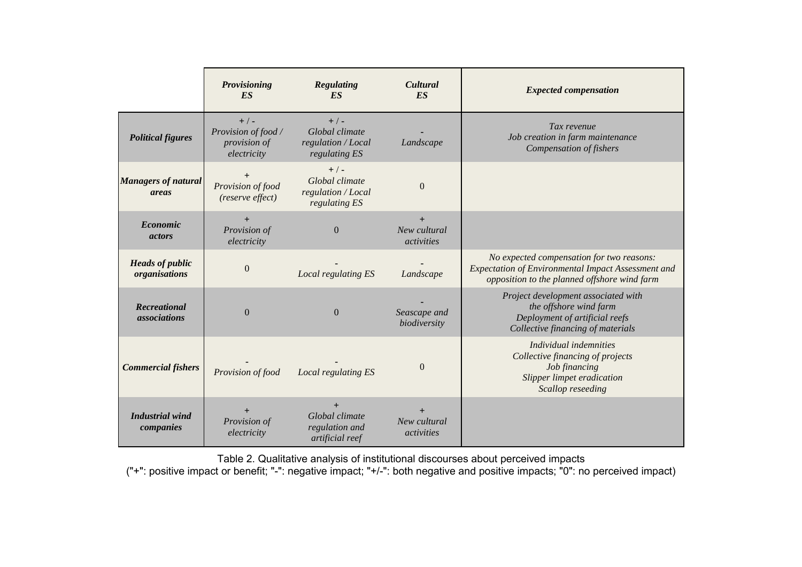|                                         | Provisioning<br>ES                                            | <b>Regulating</b><br>ES                                          | Cultural<br>ES                             | <b>Expected compensation</b>                                                                                                                           |  |
|-----------------------------------------|---------------------------------------------------------------|------------------------------------------------------------------|--------------------------------------------|--------------------------------------------------------------------------------------------------------------------------------------------------------|--|
| <b>Political figures</b>                | $+$ / -<br>Provision of food /<br>provision of<br>electricity | $+/-$<br>Global climate<br>regulation / Local<br>regulating ES   | Landscape                                  | Tax revenue<br>Job creation in farm maintenance<br>Compensation of fishers                                                                             |  |
| <b>Managers of natural</b><br>areas     | Provision of food<br>(reserve effect)                         | $+$ / -<br>Global climate<br>regulation / Local<br>regulating ES | $\boldsymbol{0}$                           |                                                                                                                                                        |  |
| <b>Economic</b><br>actors               | Provision of<br>electricity                                   | $\Omega$                                                         | $\pm$<br>New cultural<br><i>activities</i> |                                                                                                                                                        |  |
| <b>Heads of public</b><br>organisations | $\overline{0}$                                                | Local regulating ES                                              | Landscape                                  | No expected compensation for two reasons:<br><b>Expectation of Environmental Impact Assessment and</b><br>opposition to the planned offshore wind farm |  |
| Recreational<br>associations            | $\Omega$                                                      | $\theta$                                                         | Seascape and<br>biodiversity               | Project development associated with<br>the offshore wind farm<br>Deployment of artificial reefs<br>Collective financing of materials                   |  |
| <b>Commercial fishers</b>               | Provision of food                                             | Local regulating ES                                              | $\overline{0}$                             | Individual indemnities<br>Collective financing of projects<br>Job financing<br>Slipper limpet eradication<br>Scallop reseeding                         |  |
| <b>Industrial</b> wind<br>companies     | Provision of<br>electricity                                   | $+$<br>Global climate<br>regulation and<br>artificial reef       | New cultural<br>activities                 |                                                                                                                                                        |  |

Table 2. Qualitative analysis of institutional discourses about perceived impacts

("+": positive impact or benefit; "-": negative impact; "+/-": both negative and positive impacts; "0": no perceived impact)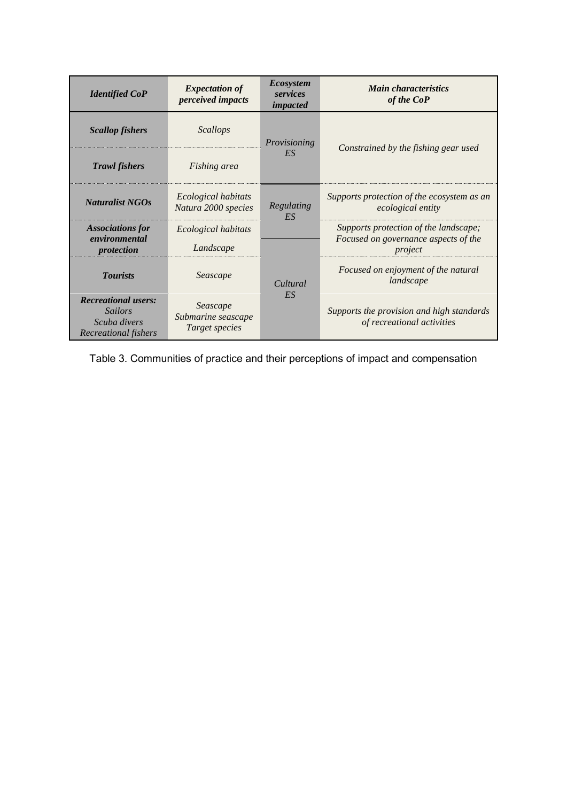| <b>Identified CoP</b>                                                         | <b>Expectation of</b><br>perceived impacts       | <b>Ecosystem</b><br>services<br><i>impacted</i> | <b>Main characteristics</b><br>of the CoP                                                |
|-------------------------------------------------------------------------------|--------------------------------------------------|-------------------------------------------------|------------------------------------------------------------------------------------------|
| <b>Scallop</b> fishers                                                        | Scallops                                         | Provisioning                                    | Constrained by the fishing gear used                                                     |
| <b>Trawl fishers</b>                                                          | Fishing area                                     | ES                                              |                                                                                          |
| <b>Naturalist NGOs</b>                                                        | Ecological habitats<br>Natura 2000 species       | Regulating<br>ES                                | Supports protection of the ecosystem as an<br>ecological entity                          |
| <b>Associations for</b><br>environmental<br>protection                        | Ecological habitats<br>Landscape                 |                                                 | Supports protection of the landscape;<br>Focused on governance aspects of the<br>project |
| <b>Tourists</b>                                                               | Seascape                                         | Cultural                                        | Focused on enjoyment of the natural<br>landscape                                         |
| <b>Recreational users:</b><br>Sailors<br>Scuba divers<br>Recreational fishers | Seascape<br>Submarine seascape<br>Target species | ES                                              | Supports the provision and high standards<br>of recreational activities                  |

Table 3. Communities of practice and their perceptions of impact and compensation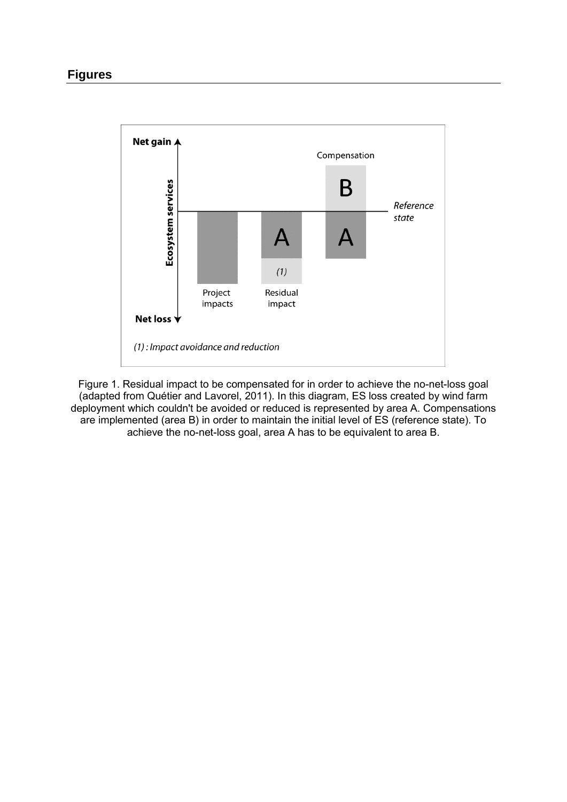

Figure 1. Residual impact to be compensated for in order to achieve the no-net-loss goal (adapted from Quétier and Lavorel, 2011). In this diagram, ES loss created by wind farm deployment which couldn't be avoided or reduced is represented by area A. Compensations are implemented (area B) in order to maintain the initial level of ES (reference state). To achieve the no-net-loss goal, area A has to be equivalent to area B.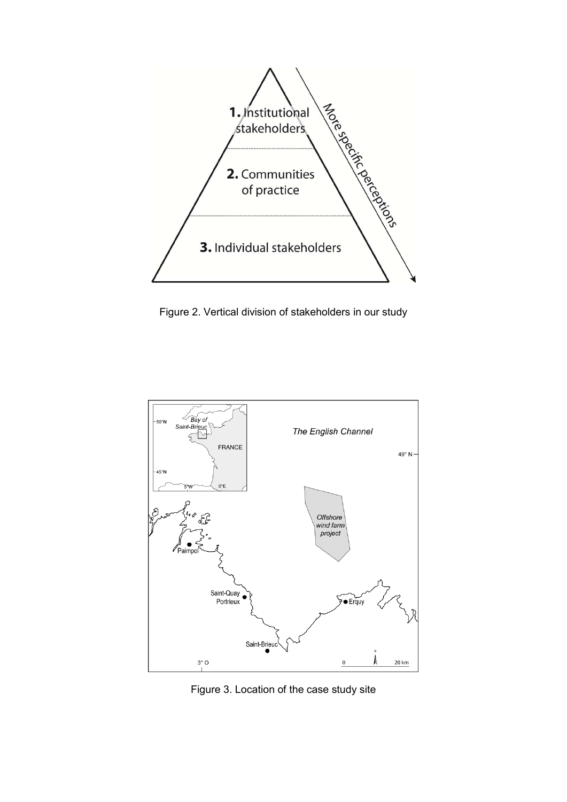

Figure 2. Vertical division of stakeholders in our study



Figure 3. Location of the case study site